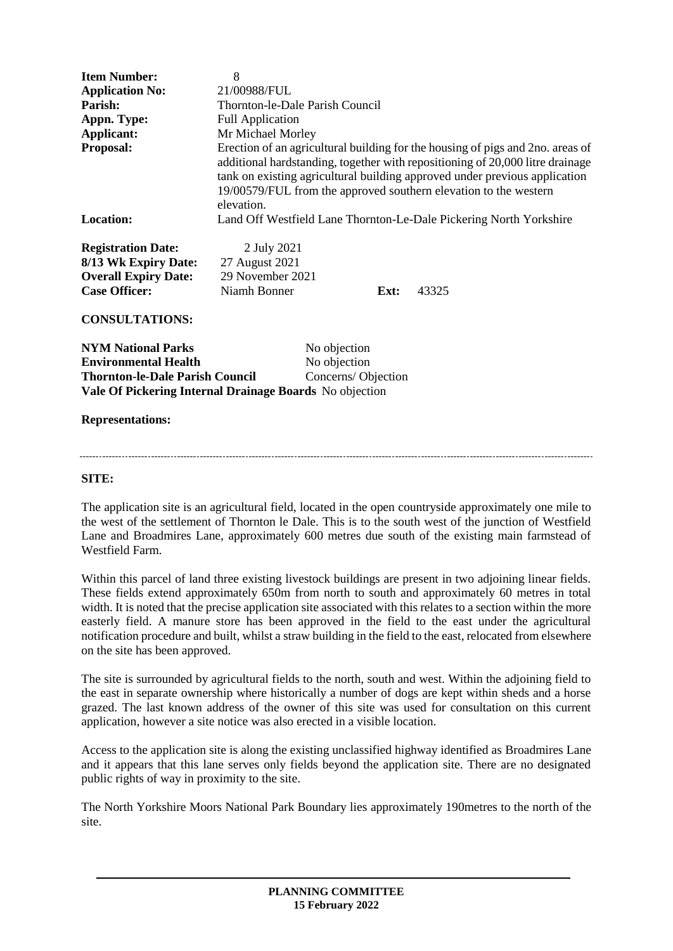| <b>Item Number:</b>                                     | 8                                                                                                                                                                                                                                                                                                                               |              |      |       |
|---------------------------------------------------------|---------------------------------------------------------------------------------------------------------------------------------------------------------------------------------------------------------------------------------------------------------------------------------------------------------------------------------|--------------|------|-------|
| <b>Application No:</b>                                  | 21/00988/FUL                                                                                                                                                                                                                                                                                                                    |              |      |       |
| Parish:                                                 | Thornton-le-Dale Parish Council                                                                                                                                                                                                                                                                                                 |              |      |       |
| Appn. Type:                                             | <b>Full Application</b>                                                                                                                                                                                                                                                                                                         |              |      |       |
| Applicant:                                              | Mr Michael Morley                                                                                                                                                                                                                                                                                                               |              |      |       |
| Proposal:                                               | Erection of an agricultural building for the housing of pigs and 2no. areas of<br>additional hardstanding, together with repositioning of 20,000 litre drainage<br>tank on existing agricultural building approved under previous application<br>19/00579/FUL from the approved southern elevation to the western<br>elevation. |              |      |       |
| <b>Location:</b>                                        | Land Off Westfield Lane Thornton-Le-Dale Pickering North Yorkshire                                                                                                                                                                                                                                                              |              |      |       |
| <b>Registration Date:</b>                               | 2 July 2021                                                                                                                                                                                                                                                                                                                     |              |      |       |
| 8/13 Wk Expiry Date:                                    | 27 August 2021                                                                                                                                                                                                                                                                                                                  |              |      |       |
| <b>Overall Expiry Date:</b>                             | 29 November 2021                                                                                                                                                                                                                                                                                                                |              |      |       |
| <b>Case Officer:</b>                                    | Niamh Bonner                                                                                                                                                                                                                                                                                                                    |              | Ext: | 43325 |
| <b>CONSULTATIONS:</b>                                   |                                                                                                                                                                                                                                                                                                                                 |              |      |       |
| <b>NYM National Parks</b>                               |                                                                                                                                                                                                                                                                                                                                 | No objection |      |       |
| <b>Environmental Health</b>                             |                                                                                                                                                                                                                                                                                                                                 | No objection |      |       |
| <b>Thornton-le-Dale Parish Council</b>                  | Concerns/Objection                                                                                                                                                                                                                                                                                                              |              |      |       |
| Vale Of Pickering Internal Drainage Boards No objection |                                                                                                                                                                                                                                                                                                                                 |              |      |       |
| <b>Representations:</b>                                 |                                                                                                                                                                                                                                                                                                                                 |              |      |       |

#### **SITE:**

The application site is an agricultural field, located in the open countryside approximately one mile to the west of the settlement of Thornton le Dale. This is to the south west of the junction of Westfield Lane and Broadmires Lane, approximately 600 metres due south of the existing main farmstead of Westfield Farm.

Within this parcel of land three existing livestock buildings are present in two adjoining linear fields. These fields extend approximately 650m from north to south and approximately 60 metres in total width. It is noted that the precise application site associated with this relates to a section within the more easterly field. A manure store has been approved in the field to the east under the agricultural notification procedure and built, whilst a straw building in the field to the east, relocated from elsewhere on the site has been approved.

The site is surrounded by agricultural fields to the north, south and west. Within the adjoining field to the east in separate ownership where historically a number of dogs are kept within sheds and a horse grazed. The last known address of the owner of this site was used for consultation on this current application, however a site notice was also erected in a visible location.

Access to the application site is along the existing unclassified highway identified as Broadmires Lane and it appears that this lane serves only fields beyond the application site. There are no designated public rights of way in proximity to the site.

The North Yorkshire Moors National Park Boundary lies approximately 190metres to the north of the site.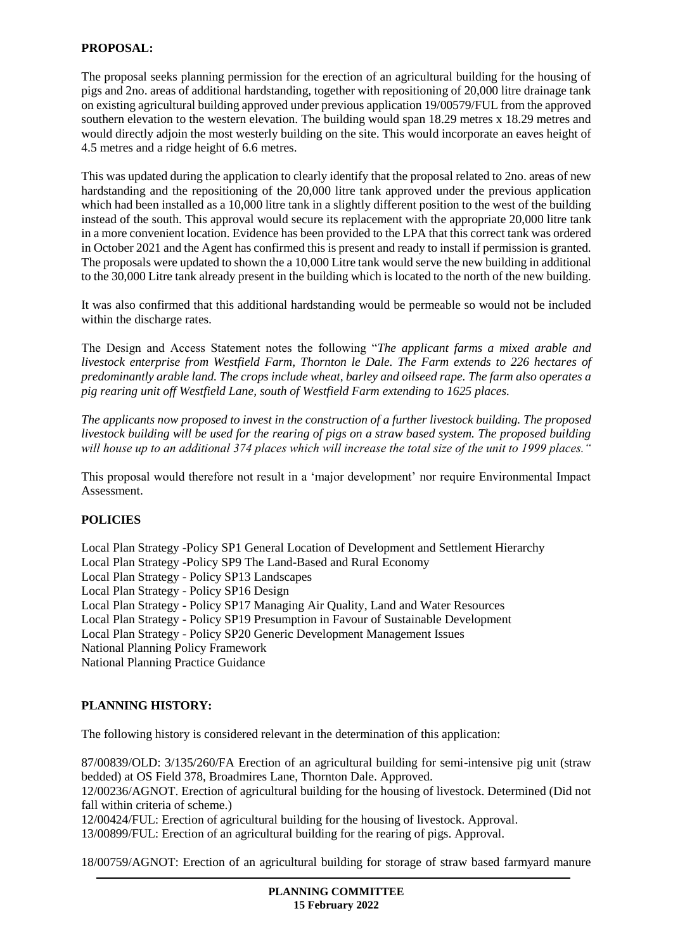# **PROPOSAL:**

The proposal seeks planning permission for the erection of an agricultural building for the housing of pigs and 2no. areas of additional hardstanding, together with repositioning of 20,000 litre drainage tank on existing agricultural building approved under previous application 19/00579/FUL from the approved southern elevation to the western elevation. The building would span 18.29 metres x 18.29 metres and would directly adjoin the most westerly building on the site. This would incorporate an eaves height of 4.5 metres and a ridge height of 6.6 metres.

This was updated during the application to clearly identify that the proposal related to 2no. areas of new hardstanding and the repositioning of the 20,000 litre tank approved under the previous application which had been installed as a 10,000 litre tank in a slightly different position to the west of the building instead of the south. This approval would secure its replacement with the appropriate 20,000 litre tank in a more convenient location. Evidence has been provided to the LPA that this correct tank was ordered in October 2021 and the Agent has confirmed this is present and ready to install if permission is granted. The proposals were updated to shown the a 10,000 Litre tank would serve the new building in additional to the 30,000 Litre tank already present in the building which is located to the north of the new building.

It was also confirmed that this additional hardstanding would be permeable so would not be included within the discharge rates.

The Design and Access Statement notes the following "*The applicant farms a mixed arable and livestock enterprise from Westfield Farm, Thornton le Dale. The Farm extends to 226 hectares of predominantly arable land. The crops include wheat, barley and oilseed rape. The farm also operates a pig rearing unit off Westfield Lane, south of Westfield Farm extending to 1625 places.* 

*The applicants now proposed to invest in the construction of a further livestock building. The proposed livestock building will be used for the rearing of pigs on a straw based system. The proposed building will house up to an additional 374 places which will increase the total size of the unit to 1999 places."*

This proposal would therefore not result in a 'major development' nor require Environmental Impact Assessment.

# **POLICIES**

Local Plan Strategy -Policy SP1 General Location of Development and Settlement Hierarchy

Local Plan Strategy -Policy SP9 The Land-Based and Rural Economy

Local Plan Strategy - Policy SP13 Landscapes

Local Plan Strategy - Policy SP16 Design

Local Plan Strategy - Policy SP17 Managing Air Quality, Land and Water Resources

Local Plan Strategy - Policy SP19 Presumption in Favour of Sustainable Development

Local Plan Strategy - Policy SP20 Generic Development Management Issues

National Planning Policy Framework

National Planning Practice Guidance

# **PLANNING HISTORY:**

The following history is considered relevant in the determination of this application:

87/00839/OLD: 3/135/260/FA Erection of an agricultural building for semi-intensive pig unit (straw bedded) at OS Field 378, Broadmires Lane, Thornton Dale. Approved.

12/00236/AGNOT. Erection of agricultural building for the housing of livestock. Determined (Did not fall within criteria of scheme.)

12/00424/FUL: Erection of agricultural building for the housing of livestock. Approval.

13/00899/FUL: Erection of an agricultural building for the rearing of pigs. Approval.

18/00759/AGNOT: Erection of an agricultural building for storage of straw based farmyard manure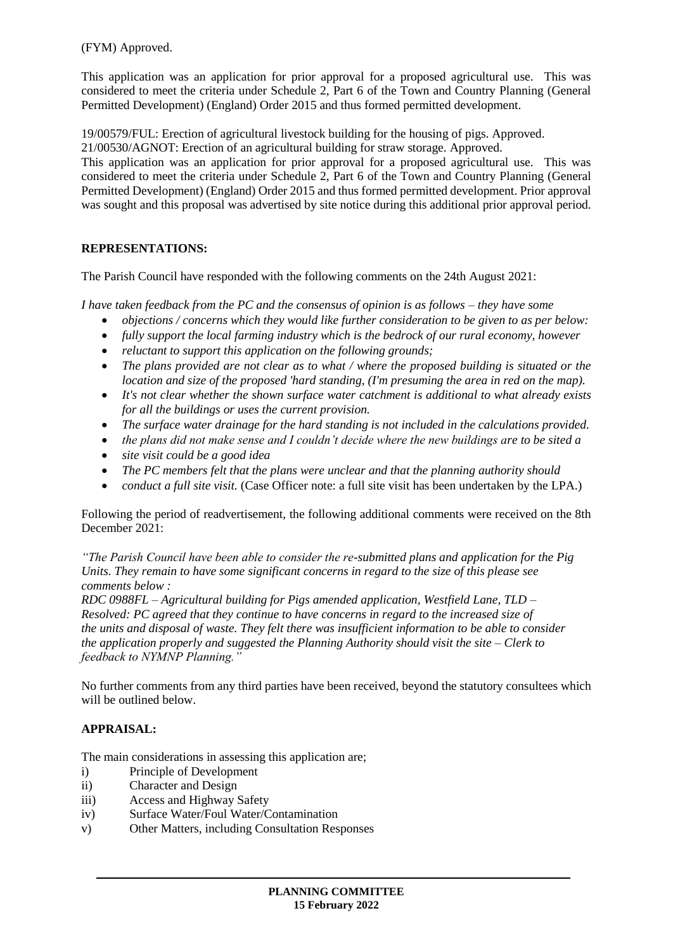(FYM) Approved.

This application was an application for prior approval for a proposed agricultural use. This was considered to meet the criteria under Schedule 2, Part 6 of the Town and Country Planning (General Permitted Development) (England) Order 2015 and thus formed permitted development.

19/00579/FUL: Erection of agricultural livestock building for the housing of pigs. Approved.

21/00530/AGNOT: Erection of an agricultural building for straw storage. Approved.

This application was an application for prior approval for a proposed agricultural use. This was considered to meet the criteria under Schedule 2, Part 6 of the Town and Country Planning (General Permitted Development) (England) Order 2015 and thus formed permitted development. Prior approval was sought and this proposal was advertised by site notice during this additional prior approval period.

# **REPRESENTATIONS:**

The Parish Council have responded with the following comments on the 24th August 2021:

*I have taken feedback from the PC and the consensus of opinion is as follows – they have some*

- *objections / concerns which they would like further consideration to be given to as per below:*
- *fully support the local farming industry which is the bedrock of our rural economy, however*
- *reluctant to support this application on the following grounds;*
- *The plans provided are not clear as to what / where the proposed building is situated or the location and size of the proposed 'hard standing, (I'm presuming the area in red on the map).*
- *It's not clear whether the shown surface water catchment is additional to what already exists for all the buildings or uses the current provision.*
- *The surface water drainage for the hard standing is not included in the calculations provided.*
- *the plans did not make sense and I couldn't decide where the new buildings are to be sited a*
- *site visit could be a good idea*
- *The PC members felt that the plans were unclear and that the planning authority should*
- *conduct a full site visit.* (Case Officer note: a full site visit has been undertaken by the LPA.)

Following the period of readvertisement, the following additional comments were received on the 8th December 2021:

*"The Parish Council have been able to consider the re-submitted plans and application for the Pig Units. They remain to have some significant concerns in regard to the size of this please see comments below :*

*RDC 0988FL – Agricultural building for Pigs amended application, Westfield Lane, TLD – Resolved: PC agreed that they continue to have concerns in regard to the increased size of the units and disposal of waste. They felt there was insufficient information to be able to consider the application properly and suggested the Planning Authority should visit the site – Clerk to feedback to NYMNP Planning."*

No further comments from any third parties have been received, beyond the statutory consultees which will be outlined below.

# **APPRAISAL:**

The main considerations in assessing this application are;

- i) Principle of Development
- ii) Character and Design
- iii) Access and Highway Safety
- iv) Surface Water/Foul Water/Contamination
- v) Other Matters, including Consultation Responses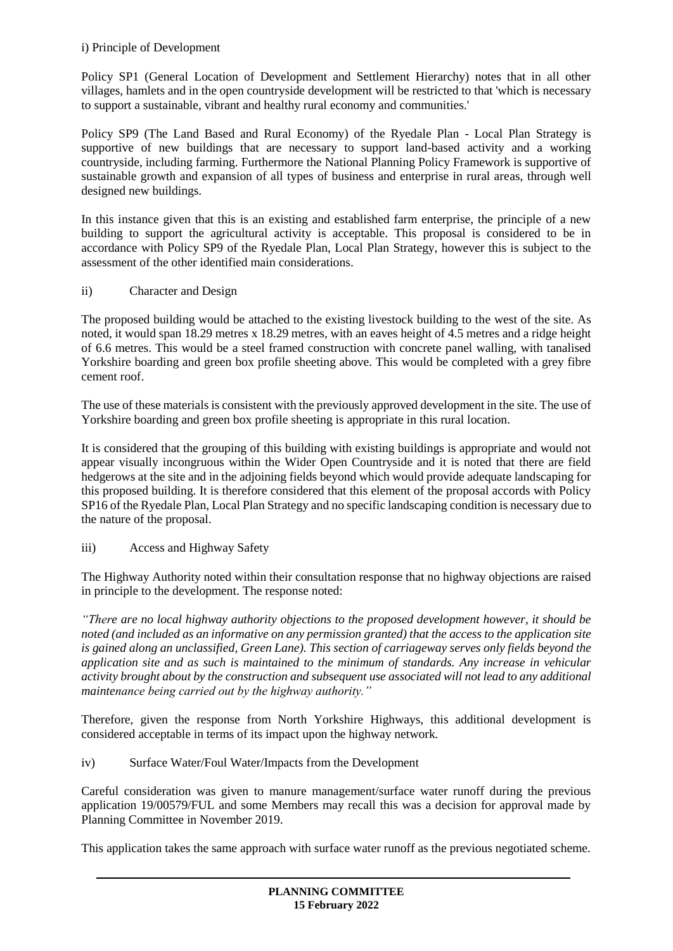# i) Principle of Development

Policy SP1 (General Location of Development and Settlement Hierarchy) notes that in all other villages, hamlets and in the open countryside development will be restricted to that 'which is necessary to support a sustainable, vibrant and healthy rural economy and communities.'

Policy SP9 (The Land Based and Rural Economy) of the Ryedale Plan - Local Plan Strategy is supportive of new buildings that are necessary to support land-based activity and a working countryside, including farming. Furthermore the National Planning Policy Framework is supportive of sustainable growth and expansion of all types of business and enterprise in rural areas, through well designed new buildings.

In this instance given that this is an existing and established farm enterprise, the principle of a new building to support the agricultural activity is acceptable. This proposal is considered to be in accordance with Policy SP9 of the Ryedale Plan, Local Plan Strategy, however this is subject to the assessment of the other identified main considerations.

# ii) Character and Design

The proposed building would be attached to the existing livestock building to the west of the site. As noted, it would span 18.29 metres x 18.29 metres, with an eaves height of 4.5 metres and a ridge height of 6.6 metres. This would be a steel framed construction with concrete panel walling, with tanalised Yorkshire boarding and green box profile sheeting above. This would be completed with a grey fibre cement roof.

The use of these materials is consistent with the previously approved development in the site. The use of Yorkshire boarding and green box profile sheeting is appropriate in this rural location.

It is considered that the grouping of this building with existing buildings is appropriate and would not appear visually incongruous within the Wider Open Countryside and it is noted that there are field hedgerows at the site and in the adjoining fields beyond which would provide adequate landscaping for this proposed building. It is therefore considered that this element of the proposal accords with Policy SP16 of the Ryedale Plan, Local Plan Strategy and no specific landscaping condition is necessary due to the nature of the proposal.

# iii) Access and Highway Safety

The Highway Authority noted within their consultation response that no highway objections are raised in principle to the development. The response noted:

*"There are no local highway authority objections to the proposed development however, it should be noted (and included as an informative on any permission granted) that the access to the application site is gained along an unclassified, Green Lane). This section of carriageway serves only fields beyond the application site and as such is maintained to the minimum of standards. Any increase in vehicular activity brought about by the construction and subsequent use associated will not lead to any additional maintenance being carried out by the highway authority."*

Therefore, given the response from North Yorkshire Highways, this additional development is considered acceptable in terms of its impact upon the highway network.

# iv) Surface Water/Foul Water/Impacts from the Development

Careful consideration was given to manure management/surface water runoff during the previous application 19/00579/FUL and some Members may recall this was a decision for approval made by Planning Committee in November 2019.

This application takes the same approach with surface water runoff as the previous negotiated scheme.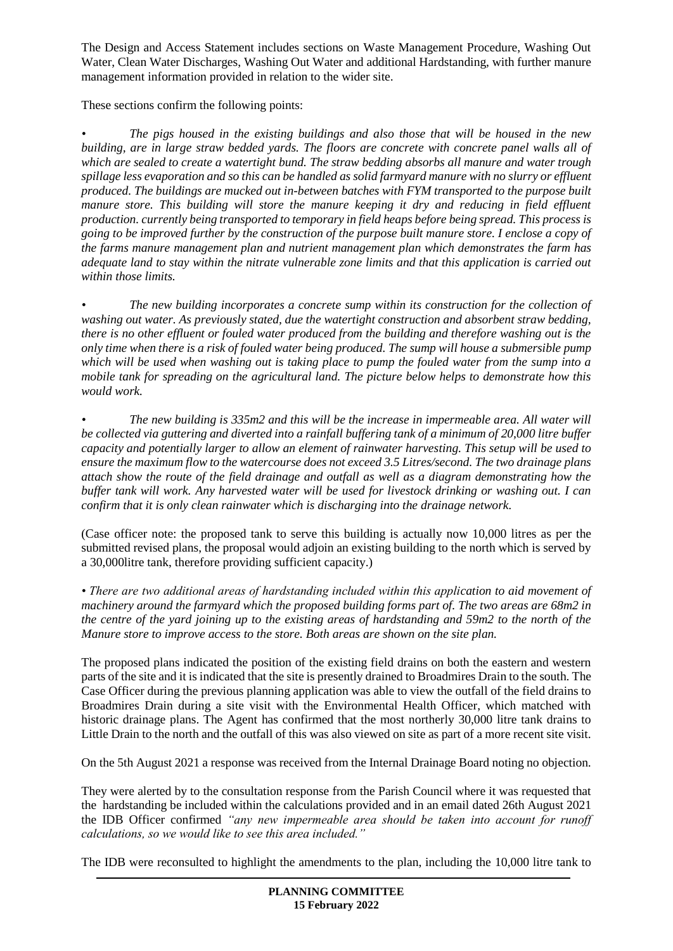The Design and Access Statement includes sections on Waste Management Procedure, Washing Out Water, Clean Water Discharges, Washing Out Water and additional Hardstanding, with further manure management information provided in relation to the wider site.

These sections confirm the following points:

*• The pigs housed in the existing buildings and also those that will be housed in the new building, are in large straw bedded yards. The floors are concrete with concrete panel walls all of which are sealed to create a watertight bund. The straw bedding absorbs all manure and water trough spillage less evaporation and so this can be handled as solid farmyard manure with no slurry or effluent produced. The buildings are mucked out in-between batches with FYM transported to the purpose built manure store. This building will store the manure keeping it dry and reducing in field effluent production. currently being transported to temporary in field heaps before being spread. This process is going to be improved further by the construction of the purpose built manure store. I enclose a copy of the farms manure management plan and nutrient management plan which demonstrates the farm has adequate land to stay within the nitrate vulnerable zone limits and that this application is carried out within those limits.* 

*• The new building incorporates a concrete sump within its construction for the collection of washing out water. As previously stated, due the watertight construction and absorbent straw bedding, there is no other effluent or fouled water produced from the building and therefore washing out is the only time when there is a risk of fouled water being produced. The sump will house a submersible pump which will be used when washing out is taking place to pump the fouled water from the sump into a mobile tank for spreading on the agricultural land. The picture below helps to demonstrate how this would work.*

*• The new building is 335m2 and this will be the increase in impermeable area. All water will be collected via guttering and diverted into a rainfall buffering tank of a minimum of 20,000 litre buffer capacity and potentially larger to allow an element of rainwater harvesting. This setup will be used to ensure the maximum flow to the watercourse does not exceed 3.5 Litres/second. The two drainage plans attach show the route of the field drainage and outfall as well as a diagram demonstrating how the buffer tank will work. Any harvested water will be used for livestock drinking or washing out. I can confirm that it is only clean rainwater which is discharging into the drainage network.* 

(Case officer note: the proposed tank to serve this building is actually now 10,000 litres as per the submitted revised plans, the proposal would adjoin an existing building to the north which is served by a 30,000litre tank, therefore providing sufficient capacity.)

*• There are two additional areas of hardstanding included within this application to aid movement of machinery around the farmyard which the proposed building forms part of. The two areas are 68m2 in the centre of the yard joining up to the existing areas of hardstanding and 59m2 to the north of the Manure store to improve access to the store. Both areas are shown on the site plan.* 

The proposed plans indicated the position of the existing field drains on both the eastern and western parts of the site and it is indicated that the site is presently drained to Broadmires Drain to the south. The Case Officer during the previous planning application was able to view the outfall of the field drains to Broadmires Drain during a site visit with the Environmental Health Officer, which matched with historic drainage plans. The Agent has confirmed that the most northerly 30,000 litre tank drains to Little Drain to the north and the outfall of this was also viewed on site as part of a more recent site visit.

On the 5th August 2021 a response was received from the Internal Drainage Board noting no objection.

They were alerted by to the consultation response from the Parish Council where it was requested that the hardstanding be included within the calculations provided and in an email dated 26th August 2021 the IDB Officer confirmed *"any new impermeable area should be taken into account for runoff calculations, so we would like to see this area included."*

The IDB were reconsulted to highlight the amendments to the plan, including the 10,000 litre tank to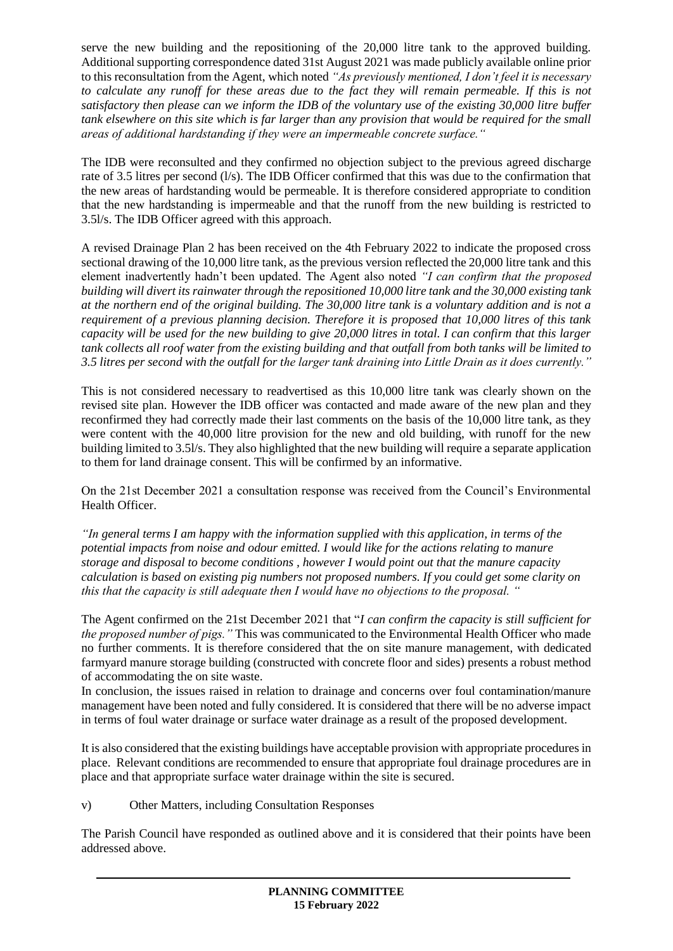serve the new building and the repositioning of the 20,000 litre tank to the approved building. Additional supporting correspondence dated 31st August 2021 was made publicly available online prior to this reconsultation from the Agent, which noted *"As previously mentioned, I don't feel it is necessary to calculate any runoff for these areas due to the fact they will remain permeable. If this is not satisfactory then please can we inform the IDB of the voluntary use of the existing 30,000 litre buffer tank elsewhere on this site which is far larger than any provision that would be required for the small areas of additional hardstanding if they were an impermeable concrete surface."*

The IDB were reconsulted and they confirmed no objection subject to the previous agreed discharge rate of 3.5 litres per second (l/s). The IDB Officer confirmed that this was due to the confirmation that the new areas of hardstanding would be permeable. It is therefore considered appropriate to condition that the new hardstanding is impermeable and that the runoff from the new building is restricted to 3.5l/s. The IDB Officer agreed with this approach.

A revised Drainage Plan 2 has been received on the 4th February 2022 to indicate the proposed cross sectional drawing of the 10,000 litre tank, as the previous version reflected the 20,000 litre tank and this element inadvertently hadn't been updated. The Agent also noted *"I can confirm that the proposed building will divert its rainwater through the repositioned 10,000 litre tank and the 30,000 existing tank at the northern end of the original building. The 30,000 litre tank is a voluntary addition and is not a requirement of a previous planning decision. Therefore it is proposed that 10,000 litres of this tank capacity will be used for the new building to give 20,000 litres in total. I can confirm that this larger tank collects all roof water from the existing building and that outfall from both tanks will be limited to 3.5 litres per second with the outfall for the larger tank draining into Little Drain as it does currently."*

This is not considered necessary to readvertised as this 10,000 litre tank was clearly shown on the revised site plan. However the IDB officer was contacted and made aware of the new plan and they reconfirmed they had correctly made their last comments on the basis of the 10,000 litre tank, as they were content with the 40,000 litre provision for the new and old building, with runoff for the new building limited to 3.5l/s. They also highlighted that the new building will require a separate application to them for land drainage consent. This will be confirmed by an informative.

On the 21st December 2021 a consultation response was received from the Council's Environmental Health Officer.

*"In general terms I am happy with the information supplied with this application, in terms of the potential impacts from noise and odour emitted. I would like for the actions relating to manure storage and disposal to become conditions , however I would point out that the manure capacity calculation is based on existing pig numbers not proposed numbers. If you could get some clarity on this that the capacity is still adequate then I would have no objections to the proposal. "*

The Agent confirmed on the 21st December 2021 that "*I can confirm the capacity is still sufficient for the proposed number of pigs."* This was communicated to the Environmental Health Officer who made no further comments. It is therefore considered that the on site manure management, with dedicated farmyard manure storage building (constructed with concrete floor and sides) presents a robust method of accommodating the on site waste.

In conclusion, the issues raised in relation to drainage and concerns over foul contamination/manure management have been noted and fully considered. It is considered that there will be no adverse impact in terms of foul water drainage or surface water drainage as a result of the proposed development.

It is also considered that the existing buildings have acceptable provision with appropriate procedures in place. Relevant conditions are recommended to ensure that appropriate foul drainage procedures are in place and that appropriate surface water drainage within the site is secured.

v) Other Matters, including Consultation Responses

The Parish Council have responded as outlined above and it is considered that their points have been addressed above.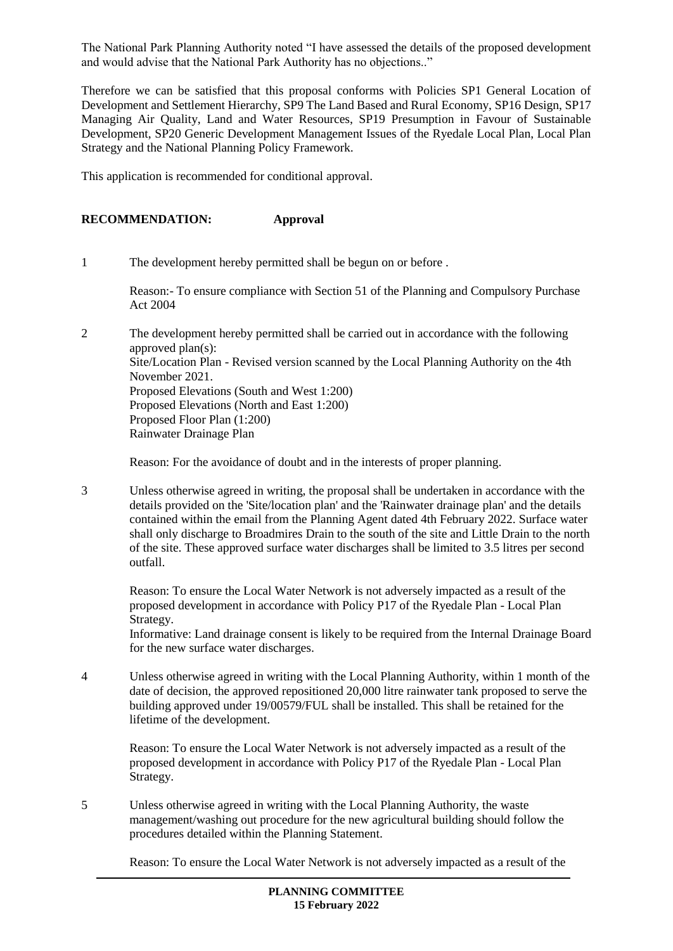The National Park Planning Authority noted "I have assessed the details of the proposed development and would advise that the National Park Authority has no objections.."

Therefore we can be satisfied that this proposal conforms with Policies SP1 General Location of Development and Settlement Hierarchy, SP9 The Land Based and Rural Economy, SP16 Design, SP17 Managing Air Quality, Land and Water Resources, SP19 Presumption in Favour of Sustainable Development, SP20 Generic Development Management Issues of the Ryedale Local Plan, Local Plan Strategy and the National Planning Policy Framework.

This application is recommended for conditional approval.

# **RECOMMENDATION: Approval**

1 The development hereby permitted shall be begun on or before .

Reason:- To ensure compliance with Section 51 of the Planning and Compulsory Purchase Act 2004

2 The development hereby permitted shall be carried out in accordance with the following approved plan(s): Site/Location Plan - Revised version scanned by the Local Planning Authority on the 4th November 2021. Proposed Elevations (South and West 1:200) Proposed Elevations (North and East 1:200) Proposed Floor Plan (1:200) Rainwater Drainage Plan

Reason: For the avoidance of doubt and in the interests of proper planning.

3 Unless otherwise agreed in writing, the proposal shall be undertaken in accordance with the details provided on the 'Site/location plan' and the 'Rainwater drainage plan' and the details contained within the email from the Planning Agent dated 4th February 2022. Surface water shall only discharge to Broadmires Drain to the south of the site and Little Drain to the north of the site. These approved surface water discharges shall be limited to 3.5 litres per second outfall.

Reason: To ensure the Local Water Network is not adversely impacted as a result of the proposed development in accordance with Policy P17 of the Ryedale Plan - Local Plan Strategy.

Informative: Land drainage consent is likely to be required from the Internal Drainage Board for the new surface water discharges.

4 Unless otherwise agreed in writing with the Local Planning Authority, within 1 month of the date of decision, the approved repositioned 20,000 litre rainwater tank proposed to serve the building approved under 19/00579/FUL shall be installed. This shall be retained for the lifetime of the development.

Reason: To ensure the Local Water Network is not adversely impacted as a result of the proposed development in accordance with Policy P17 of the Ryedale Plan - Local Plan Strategy.

5 Unless otherwise agreed in writing with the Local Planning Authority, the waste management/washing out procedure for the new agricultural building should follow the procedures detailed within the Planning Statement.

Reason: To ensure the Local Water Network is not adversely impacted as a result of the